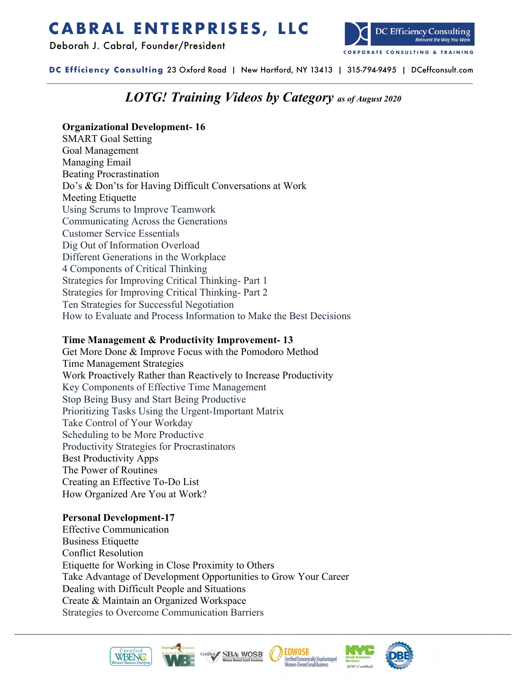# **CABRAL ENTERPRISES, LLC**

Deborah J. Cabral, Founder/President



**DC Efficiency Consulting** 23 Oxford Road | New Hartford, NY 13413 | 315-794-9495 | DCeffconsult.com

# *LOTG! Training Videos by Category as of August 2020*

# **Organizational Development- 16**

SMART Goal Setting Goal Management Managing Email Beating Procrastination Do's & Don'ts for Having Difficult Conversations at Work Meeting Etiquette Using Scrums to Improve Teamwork Communicating Across the Generations Customer Service Essentials Dig Out of Information Overload Different Generations in the Workplace 4 Components of Critical Thinking Strategies for Improving Critical Thinking- Part 1 Strategies for Improving Critical Thinking- Part 2 Ten Strategies for Successful Negotiation How to Evaluate and Process Information to Make the Best Decisions

### **Time Management & Productivity Improvement- 13**

Get More Done & Improve Focus with the Pomodoro Method Time Management Strategies Work Proactively Rather than Reactively to Increase Productivity Key Components of Effective Time Management Stop Being Busy and Start Being Productive Prioritizing Tasks Using the Urgent-Important Matrix Take Control of Your Workday Scheduling to be More Productive Productivity Strategies for Procrastinators Best Productivity Apps The Power of Routines Creating an Effective To-Do List How Organized Are You at Work?

# **Personal Development-17**

Effective Communication Business Etiquette Conflict Resolution Etiquette for Working in Close Proximity to Others Take Advantage of Development Opportunities to Grow Your Career Dealing with Difficult People and Situations Create & Maintain an Organized Workspace Strategies to Overcome Communication Barriers